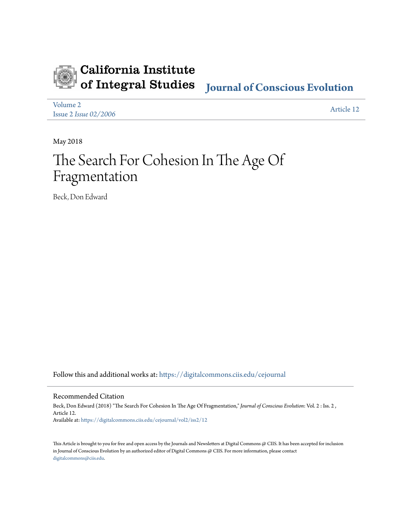

# California Institute of Integral Studies

# **[Journal of Conscious Evolution](https://digitalcommons.ciis.edu/cejournal?utm_source=digitalcommons.ciis.edu%2Fcejournal%2Fvol2%2Fiss2%2F12&utm_medium=PDF&utm_campaign=PDFCoverPages)**

[Volume 2](https://digitalcommons.ciis.edu/cejournal/vol2?utm_source=digitalcommons.ciis.edu%2Fcejournal%2Fvol2%2Fiss2%2F12&utm_medium=PDF&utm_campaign=PDFCoverPages) Issue 2 *[Issue 02/2006](https://digitalcommons.ciis.edu/cejournal/vol2/iss2?utm_source=digitalcommons.ciis.edu%2Fcejournal%2Fvol2%2Fiss2%2F12&utm_medium=PDF&utm_campaign=PDFCoverPages)* [Article 12](https://digitalcommons.ciis.edu/cejournal/vol2/iss2/12?utm_source=digitalcommons.ciis.edu%2Fcejournal%2Fvol2%2Fiss2%2F12&utm_medium=PDF&utm_campaign=PDFCoverPages)

May 2018

# The Search For Cohesion In The Age Of Fragmentation

Beck, Don Edward

Follow this and additional works at: [https://digitalcommons.ciis.edu/cejournal](https://digitalcommons.ciis.edu/cejournal?utm_source=digitalcommons.ciis.edu%2Fcejournal%2Fvol2%2Fiss2%2F12&utm_medium=PDF&utm_campaign=PDFCoverPages)

Recommended Citation

Beck, Don Edward (2018) "The Search For Cohesion In The Age Of Fragmentation," *Journal of Conscious Evolution*: Vol. 2 : Iss. 2 , Article 12. Available at: [https://digitalcommons.ciis.edu/cejournal/vol2/iss2/12](https://digitalcommons.ciis.edu/cejournal/vol2/iss2/12?utm_source=digitalcommons.ciis.edu%2Fcejournal%2Fvol2%2Fiss2%2F12&utm_medium=PDF&utm_campaign=PDFCoverPages)

This Article is brought to you for free and open access by the Journals and Newsletters at Digital Commons @ CIIS. It has been accepted for inclusion in Journal of Conscious Evolution by an authorized editor of Digital Commons @ CIIS. For more information, please contact [digitalcommons@ciis.edu.](mailto:digitalcommons@ciis.edu)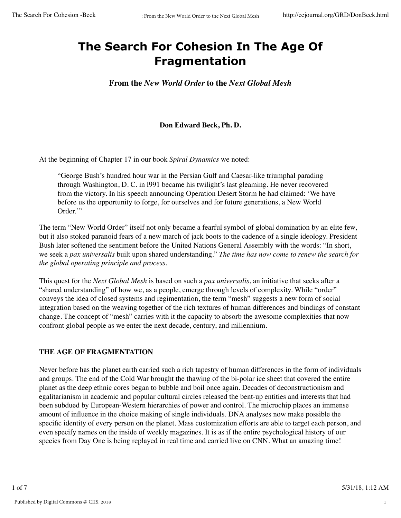# **The Search For Cohesion In The Age Of Fragmentation**

**From the** *New World Order* **to the** *Next Global Mesh*

## **Don Edward Beck, Ph. D.**

At the beginning of Chapter 17 in our book *Spiral Dynamics* we noted:

"George Bush's hundred hour war in the Persian Gulf and Caesar-like triumphal parading through Washington, D. C. in l991 became his twilight's last gleaming. He never recovered from the victory. In his speech announcing Operation Desert Storm he had claimed: 'We have before us the opportunity to forge, for ourselves and for future generations, a New World Order."

The term "New World Order" itself not only became a fearful symbol of global domination by an elite few, but it also stoked paranoid fears of a new march of jack boots to the cadence of a single ideology. President Bush later softened the sentiment before the United Nations General Assembly with the words: "In short, we seek a *pax universalis* built upon shared understanding." *The time has now come to renew the search for the global operating principle and process.*

This quest for the *Next Global Mesh* is based on such a *pax universalis*, an initiative that seeks after a "shared understanding" of how we, as a people, emerge through levels of complexity. While "order" conveys the idea of closed systems and regimentation, the term "mesh" suggests a new form of social integration based on the weaving together of the rich textures of human differences and bindings of constant change. The concept of "mesh" carries with it the capacity to absorb the awesome complexities that now confront global people as we enter the next decade, century, and millennium.

# **THE AGE OF FRAGMENTATION**

Never before has the planet earth carried such a rich tapestry of human differences in the form of individuals and groups. The end of the Cold War brought the thawing of the bi-polar ice sheet that covered the entire planet as the deep ethnic cores began to bubble and boil once again. Decades of deconstructionism and egalitarianism in academic and popular cultural circles released the bent-up entities and interests that had been subdued by European-Western hierarchies of power and control. The microchip places an immense amount of influence in the choice making of single individuals. DNA analyses now make possible the specific identity of every person on the planet. Mass customization efforts are able to target each person, and even specify names on the inside of weekly magazines. It is as if the entire psychological history of our species from Day One is being replayed in real time and carried live on CNN. What an amazing time!

1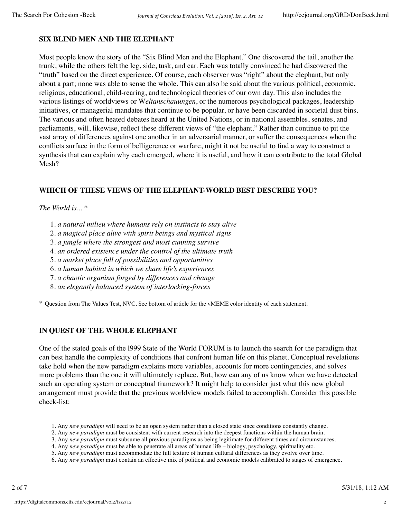## **SIX BLIND MEN AND THE ELEPHANT**

Most people know the story of the "Six Blind Men and the Elephant." One discovered the tail, another the trunk, while the others felt the leg, side, tusk, and ear. Each was totally convinced he had discovered the "truth" based on the direct experience. Of course, each observer was "right" about the elephant, but only about a part; none was able to sense the whole. This can also be said about the various political, economic, religious, educational, child-rearing, and technological theories of our own day. This also includes the various listings of worldviews or W*eltanschauungen*, or the numerous psychological packages, leadership initiatives, or managerial mandates that continue to be popular, or have been discarded in societal dust bins. The various and often heated debates heard at the United Nations, or in national assembles, senates, and parliaments, will, likewise, reflect these different views of "the elephant." Rather than continue to pit the vast array of differences against one another in an adversarial manner, or suffer the consequences when the conflicts surface in the form of belligerence or warfare, might it not be useful to find a way to construct a synthesis that can explain why each emerged, where it is useful, and how it can contribute to the total Global Mesh?

## **WHICH OF THESE VIEWS OF THE ELEPHANT-WORLD BEST DESCRIBE YOU?**

#### *The World is...* \*

- 1. *a natural milieu where humans rely on instincts to stay alive*
- 2. *a magical place alive with spirit beings and mystical signs*
- 3. *a jungle where the strongest and most cunning survive*
- 4. *an ordered existence under the control of the ultimate truth*
- 5. *a market place full of possibilities and opportunities*
- 6. *a human habitat in which we share life's experiences*
- 7. *a chaotic organism forged by differences and change*
- 8. *an elegantly balanced system of interlocking-forces*

\* Question from The Values Test, NVC. See bottom of article for the vMEME color identity of each statement.

# **IN QUEST OF THE WHOLE ELEPHANT**

One of the stated goals of the l999 State of the World FORUM is to launch the search for the paradigm that can best handle the complexity of conditions that confront human life on this planet. Conceptual revelations take hold when the new paradigm explains more variables, accounts for more contingencies, and solves more problems than the one it will ultimately replace. But, how can any of us know when we have detected such an operating system or conceptual framework? It might help to consider just what this new global arrangement must provide that the previous worldview models failed to accomplish. Consider this possible check-list:

- 1. Any *new paradigm* will need to be an open system rather than a closed state since conditions constantly change.
- 2. Any *new paradigm* must be consistent with current research into the deepest functions within the human brain.
- 3. Any *new paradigm* must subsume all previous paradigms as being legitimate for different times and circumstances.
- 4. Any *new paradigm* must be able to penetrate all areas of human life biology, psychology, spirituality etc.
- 5. Any *new paradigm* must accommodate the full texture of human cultural differences as they evolve over time.
- 6. Any *new paradigm* must contain an effective mix of political and economic models calibrated to stages of emergence.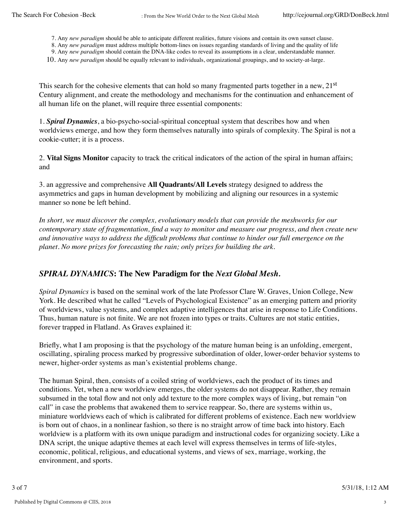7. Any *new paradigm* should be able to anticipate different realities, future visions and contain its own sunset clause.

8. Any *new paradigm* must address multiple bottom-lines on issues regarding standards of living and the quality of life

9. Any *new paradigm* should contain the DNA-like codes to reveal its assumptions in a clear, understandable manner. 10. Any *new paradigm* should be equally relevant to individuals, organizational groupings, and to society-at-large.

This search for the cohesive elements that can hold so many fragmented parts together in a new, 21<sup>st</sup> Century alignment, and create the methodology and mechanisms for the continuation and enhancement of all human life on the planet, will require three essential components:

1. *Spiral Dynamics*, a bio-psycho-social-spiritual conceptual system that describes how and when worldviews emerge, and how they form themselves naturally into spirals of complexity. The Spiral is not a cookie-cutter; it is a process.

2. **Vital Signs Monitor** capacity to track the critical indicators of the action of the spiral in human affairs; and

3. an aggressive and comprehensive **All Quadrants/All Levels** strategy designed to address the asymmetrics and gaps in human development by mobilizing and aligning our resources in a systemic manner so none be left behind.

*In short, we must discover the complex, evolutionary models that can provide the meshworks for our contemporary state of fragmentation, find a way to monitor and measure our progress, and then create new and innovative ways to address the difficult problems that continue to hinder our full emergence on the planet. No more prizes for forecasting the rain; only prizes for building the ark.*

# *SPIRAL DYNAMICS***: The New Paradigm for the** *Next Global Mesh.*

*Spiral Dynamics* is based on the seminal work of the late Professor Clare W. Graves, Union College, New York. He described what he called "Levels of Psychological Existence" as an emerging pattern and priority of worldviews, value systems, and complex adaptive intelligences that arise in response to Life Conditions. Thus, human nature is not finite. We are not frozen into types or traits. Cultures are not static entities, forever trapped in Flatland. As Graves explained it:

Briefly, what I am proposing is that the psychology of the mature human being is an unfolding, emergent, oscillating, spiraling process marked by progressive subordination of older, lower-order behavior systems to newer, higher-order systems as man's existential problems change.

The human Spiral, then, consists of a coiled string of worldviews, each the product of its times and conditions. Yet, when a new worldview emerges, the older systems do not disappear. Rather, they remain subsumed in the total flow and not only add texture to the more complex ways of living, but remain "on call" in case the problems that awakened them to service reappear. So, there are systems within us, miniature worldviews each of which is calibrated for different problems of existence. Each new worldview is born out of chaos, in a nonlinear fashion, so there is no straight arrow of time back into history. Each worldview is a platform with its own unique paradigm and instructional codes for organizing society. Like a DNA script, the unique adaptive themes at each level will express themselves in terms of life-styles, economic, political, religious, and educational systems, and views of sex, marriage, working, the environment, and sports.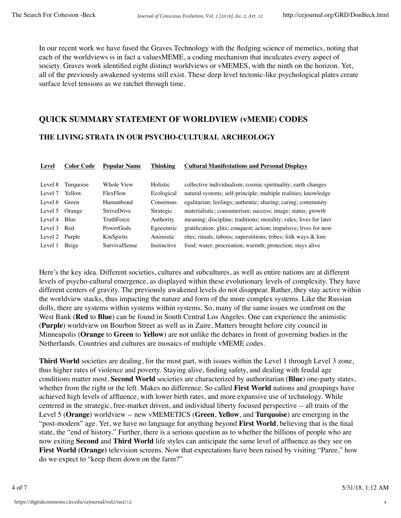In our recent work we have fused the Graves Technology with the fledging science of memetics, noting that each of the worldviews is in fact a valuesMEME, a coding mechanism that inculcates every aspect of society. Graves work identified eight distinct worldviews or vMEMES, with the ninth on the horizon. Yet, all of the previously awakened systems still exist. These deep level tectonic-like psychological plates create surface level tensions as we ratchet through time.

# **QUICK SUMMARY STATEMENT OF WORLDVIEW (vMEME) CODES**

## **THE LIVING STRATA IN OUR PSYCHO-CULTURAL ARCHEOLOGY**

| <b>Level</b>   | <b>Color Code</b> | <b>Popular Name</b> | <b>Thinking</b> | <b>Cultural Manifestations and Personal Displays</b>              |
|----------------|-------------------|---------------------|-----------------|-------------------------------------------------------------------|
|                |                   |                     |                 |                                                                   |
| Level 8        | Turquoise         | Whole View          | Holistic        | collective individualism; cosmic spirituality; earth changes      |
| Level 7        | Yellow            | FlexFlow            | Ecological      | natural systems; self-principle; multiple realities; knowledge    |
| Level 6 Green  |                   | Humanbond           | Consensus       | egalitarian; feelings; authentic; sharing; caring; community      |
| Level 5 Orange |                   | <b>StriveDrive</b>  | Strategic       | materialistic; consumerism; success; image; status; growth        |
| Level 4 Blue   |                   | TruthForce          | Authority       | meaning; discipline; traditions; morality; rules; lives for later |
| Level 3 Red    |                   | PowerGods           | Egocentric      | gratification; glitz; conquest; action; impulsive; lives for now  |
| Level 2 Purple |                   | KinSpirits          | Animistic       | rites; rituals; taboos; superstitions; tribes; folk ways & lore   |
| Level 1        | Beige             | SurvivalSense       | Instinctive     | food; water; procreation; warmth; protection; stays alive         |

Here's the key idea. Different societies, cultures and subcultures, as well as entire nations are at different levels of psycho-cultural emergence, as displayed within these evolutionary levels of complexity. They have different centers of gravity. The previously awakened levels do not disappear. Rather, they stay active within the worldview stacks, thus impacting the nature and form of the more complex systems. Like the Russian dolls, there are systems within systems within systems. So, many of the same issues we confront on the West Bank (**Red** to **Blue**) can be found in South Central Los Angeles. One can experience the animistic (**Purple**) worldview on Bourbon Street as well as in Zaire. Matters brought before city council in Minneapolis (**Orange** to **Green** to **Yellow**) are not unlike the debates in front of governing bodies in the Netherlands. Countries and cultures are mosaics of multiple vMEME codes.

**Third World** societies are dealing, for the most part, with issues within the Level 1 through Level 3 zone, thus higher rates of violence and poverty. Staying alive, finding safety, and dealing with feudal age conditions matter most. **Second World** societies are characterized by authoritarian (**Blue**) one-party states, whether from the right or the left. Makes no difference. So called **First World** nations and groupings have achieved high levels of affluence, with lower birth rates, and more expansive use of technology. While centered in the strategic, free-market driven, and individual liberty focused perspective -- all traits of the Level 5 (**Orange**) worldview -- new vMEMETICS (**Green**, **Yellow**, and **Turquoise**) are emerging in the "post-modern" age. Yet, we have no language for anything beyond **First World**, believing that is the final state, the "end of history." Further, there is a serious question as to whether the billions of people who are now exiting **Second** and **Third World** life styles can anticipate the same level of affluence as they see on **First World (Orange)** television screens. Now that expectations have been raised by visiting "Paree," how do we expect to "keep them down on the farm?"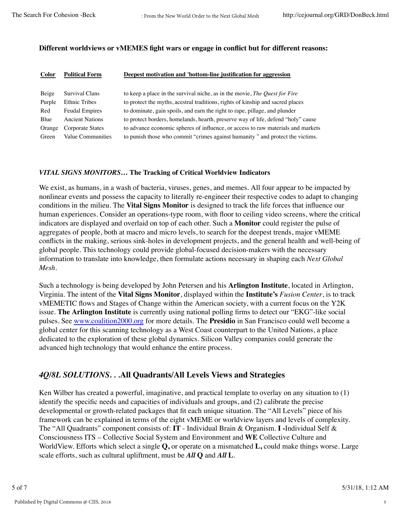#### **Different worldviews or vMEMES fight wars or engage in conflict but for different reasons:**

| <b>Color</b> | <b>Political Form</b>  | Deepest motivation and 'bottom-line justification for aggression                 |
|--------------|------------------------|----------------------------------------------------------------------------------|
| Beige        | Survival Clans         | to keep a place in the survival niche, as in the movie, The Quest for Fire       |
| Purple       | <b>Ethnic Tribes</b>   | to protect the myths, acestral traditions, rights of kinship and sacred places   |
| Red          | <b>Feudal Empires</b>  | to dominate, gain spoils, and earn the right to rape, pillage, and plunder       |
| Blue         | <b>Ancient Nations</b> | to protect borders, homelands, hearth, preserve way of life, defend "holy" cause |
| Orange       | Corporate States       | to advance economic spheres of influence, or access to raw materials and markets |
| Green        | Value Communities      | to punish those who commit "crimes against humanity" and protect the victims.    |

#### *VITAL SIGNS MONITORS***… The Tracking of Critical Worldview Indicators**

We exist, as humans, in a wash of bacteria, viruses, genes, and memes. All four appear to be impacted by nonlinear events and possess the capacity to literally re-engineer their respective codes to adapt to changing conditions in the milieu. The **Vital Signs Monitor** is designed to track the life forces that influence our human experiences. Consider an operations-type room, with floor to ceiling video screens, where the critical indicators are displayed and overlaid on top of each other. Such a **Monitor** could register the pulse of aggregates of people, both at macro and micro levels, to search for the deepest trends, major vMEME conflicts in the making, serious sink-holes in development projects, and the general health and well-being of global people. This technology could provide global-focused decision-makers with the necessary information to translate into knowledge, then formulate actions necessary in shaping each *Next Global Mesh.*

Such a technology is being developed by John Petersen and his **Arlington Institute**, located in Arlington, Virginia. The intent of the **Vital Signs Monitor**, displayed within the **Institute's** *Fusion Center*, is to track vMEMETIC flows and Stages of Change within the American society, with a current focus on the Y2K issue. **The Arlington Institute** is currently using national polling firms to detect our "EKG"-like social pulses. See www.coalition2000.org for more details. The **Presidio** in San Francisco could well become a global center for this scanning technology as a West Coast counterpart to the United Nations, a place dedicated to the exploration of these global dynamics. Silicon Valley companies could generate the advanced high technology that would enhance the entire process.

# *4Q/8L SOLUTIONS. . .***All Quadrants/All Levels Views and Strategies**

Ken Wilber has created a powerful, imaginative, and practical template to overlay on any situation to (1) identify the specific needs and capacities of individuals and groups, and (2) calibrate the precise developmental or growth-related packages that fit each unique situation. The "All Levels" piece of his framework can be explained in terms of the eight vMEME or worldview layers and levels of complexity. The "All Quadrants" component consists of: **IT** - Individual Brain & Organism. **I -**Individual Self & Consciousness ITS – Collective Social System and Environment and **WE** Collective Culture and WorldView. Efforts which select a single **Q,** or operate on a mismatched **L,** could make things worse. Large scale efforts, such as cultural upliftment, must be *All* **Q** and *All* **L**.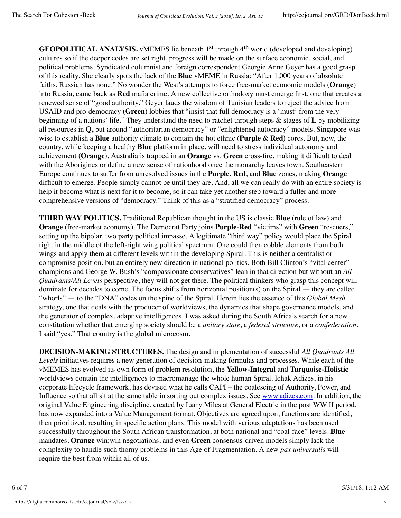**GEOPOLITICAL ANALYSIS.** vMEMES lie beneath 1<sup>st</sup> through 4<sup>th</sup> world (developed and developing) cultures so if the deeper codes are set right, progress will be made on the surface economic, social, and political problems. Syndicated columnist and foreign correspondent Georgie Anne Geyer has a good grasp of this reality. She clearly spots the lack of the **Blue** vMEME in Russia: "After 1,000 years of absolute faiths, Russian has none." No wonder the West's attempts to force free-market economic models (**Orange**) into Russia, came back as **Red** mafia crime. A new collective orthodoxy must emerge first, one that creates a renewed sense of "good authority." Geyer lauds the wisdom of Tunisian leaders to reject the advice from USAID and pro-democracy (**Green**) lobbies that "insist that full democracy is a 'must' from the very beginning of a nations' life." They understand the need to ratchet through steps & stages of **L** by mobilizing all resources in **Q,** but around "authoritarian democracy" or "enlightened autocracy" models. Singapore was wise to establish a **Blue** authority climate to contain the hot ethnic (**Purple** & **Red)** cores. But, now, the country, while keeping a healthy **Blue** platform in place, will need to stress individual autonomy and achievement (**Orange**). Australia is trapped in an **Orange** vs. **Green** cross-fire, making it difficult to deal with the Aborigines or define a new sense of nationhood once the monarchy leaves town. Southeastern Europe continues to suffer from unresolved issues in the **Purple**, **Red**, and **Blue** zones, making **Orange** difficult to emerge. People simply cannot be until they are. And, all we can really do with an entire society is help it become what is next for it to become, so it can take yet another step toward a fuller and more comprehensive versions of "democracy." Think of this as a "stratified democracy" process.

**THIRD WAY POLITICS.** Traditional Republican thought in the US is classic **Blue** (rule of law) and **Orange** (free-market economy). The Democrat Party joins **Purple**-**Red** "victims" with **Green** "rescuers," setting up the bipolar, two party political impasse. A legitimate "third way" policy would place the Spiral right in the middle of the left-right wing political spectrum. One could then cobble elements from both wings and apply them at different levels within the developing Spiral. This is neither a centralist or compromise position, but an entirely new direction in national politics. Both Bill Clinton's "vital center" champions and George W. Bush's "compassionate conservatives" lean in that direction but without an *All Quadrants/All Levels* perspective, they will not get there. The political thinkers who grasp this concept will dominate for decades to come. The focus shifts from horizontal position(s) on the Spiral — they are called "whorls" — to the "DNA" codes on the spine of the Spiral. Herein lies the essence of this *Global Mesh* strategy, one that deals with the producer of worldviews, the dynamics that shape governance models, and the generator of complex, adaptive intelligences. I was asked during the South Africa's search for a new constitution whether that emerging society should be a *unitary state*, a *federal structure*, or a *confederation*. I said "yes." That country is the global microcosm.

**DECISION-MAKING STRUCTURES.** The design and implementation of successful *All Quadrants All Levels* initiatives requires a new generation of decision-making formulas and processes. While each of the vMEMES has evolved its own form of problem resolution, the **Yellow-Integral** and **Turquoise-Holistic** worldviews contain the intelligences to macromanage the whole human Spiral. Ichak Adizes, in his corporate lifecycle framework, has devised what he calls CAPI – the coalescing of Authority, Power, and Influence so that all sit at the same table in sorting out complex issues. See www.adizes.com. In addition, the original Value Engineering discipline, created by Larry Miles at General Electric in the post WW II period, has now expanded into a Value Management format. Objectives are agreed upon, functions are identified, then prioritized, resulting in specific action plans. This model with various adaptations has been used successfully throughout the South African transformation, at both national and "coal-face" levels. **Blue** mandates, **Orange** win:win negotiations, and even **Green** consensus-driven models simply lack the complexity to handle such thorny problems in this Age of Fragmentation. A new *pax universalis* will require the best from within all of us.